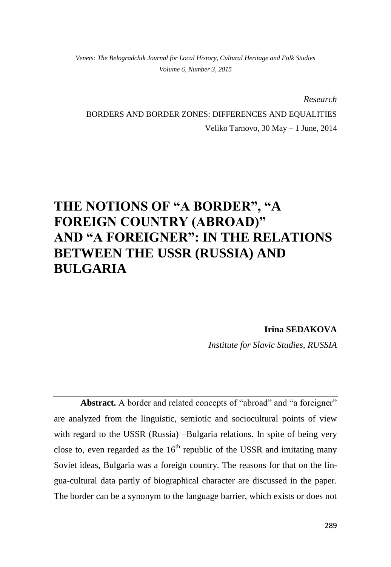*Research*

BORDERS AND BORDER ZONES: DIFFERENCES AND EQUALITIES

Veliko Tarnovo, 30 May – 1 June, 2014

# **THE NOTIONS OF "A BORDER", "A FOREIGN COUNTRY (ABROAD)" AND "A FOREIGNER": IN THE RELATIONS BETWEEN THE USSR (RUSSIA) AND BULGARIA**

**Irina SEDAKOVA**

*Institute for Slavic Studies, RUSSIA*

Abstract. A border and related concepts of "abroad" and "a foreigner" are analyzed from the linguistic, semiotic and sociocultural points of view with regard to the USSR (Russia) –Bulgaria relations. In spite of being very close to, even regarded as the  $16<sup>th</sup>$  republic of the USSR and imitating many Soviet ideas, Bulgaria was a foreign country. The reasons for that on the lingua-cultural data partly of biographical character are discussed in the paper. The border can be a synonym to the language barrier, which exists or does not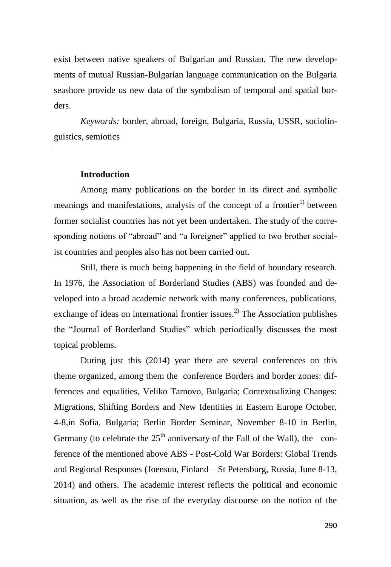exist between native speakers of Bulgarian and Russian. The new developments of mutual Russian-Bulgarian language communication on the Bulgaria seashore provide us new data of the symbolism of temporal and spatial borders.

*Keywords:* border, abroad, foreign, Bulgaria, Russia, USSR, sociolinguistics, semiotics

#### **Introduction**

Among many publications on the border in its direct and symbolic meanings and manifestations, analysis of the concept of a frontier<sup>1)</sup> between former socialist countries has not yet been undertaken. The study of the corresponding notions of "abroad" and "a foreigner" applied to two brother socialist countries and peoples also has not been carried out.

Still, there is much being happening in the field of boundary research. In 1976, the Association of Borderland Studies (ABS) was founded and developed into a broad academic network with many conferences, publications, exchange of ideas on international frontier issues.<sup>2)</sup> The Association publishes the "Journal of Borderland Studies" which periodically discusses the most topical problems.

During just this (2014) year there are several conferences on this theme organized, among them the conference Borders and border zones: differences and equalities, Veliko Tarnovo, Bulgaria; Contextualizing Changes: Migrations, Shifting Borders and New Identities in Eastern Europe October, 4-8,in Sofia, Bulgaria; Berlin Border Seminar, November 8-10 in Berlin, Germany (to celebrate the  $25<sup>th</sup>$  anniversary of the Fall of the Wall), the conference of the mentioned above ABS - Post-Cold War Borders: Global Trends and Regional Responses (Joensuu, Finland – St Petersburg, Russia, June 8-13, 2014) and others. The academic interest reflects the political and economic situation, as well as the rise of the everyday discourse on the notion of the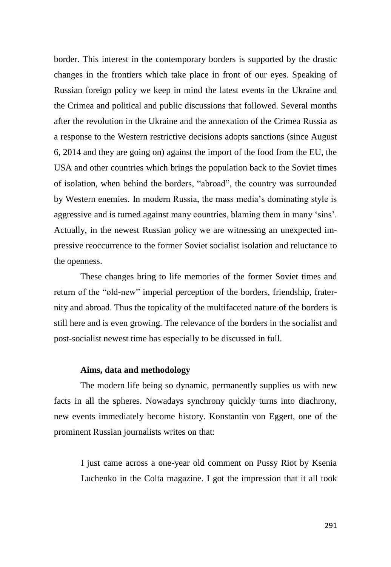border. This interest in the contemporary borders is supported by the drastic changes in the frontiers which take place in front of our eyes. Speaking of Russian foreign policy we keep in mind the latest events in the Ukraine and the Crimea and political and public discussions that followed. Several months after the revolution in the Ukraine and the annexation of the Crimea Russia as a response to the Western restrictive decisions adopts sanctions (since August 6, 2014 and they are going on) against the import of the food from the EU, the USA and other countries which brings the population back to the Soviet times of isolation, when behind the borders, "abroad", the country was surrounded by Western enemies. In modern Russia, the mass media's dominating style is aggressive and is turned against many countries, blaming them in many 'sins'. Actually, in the newest Russian policy we are witnessing an unexpected impressive reoccurrence to the former Soviet socialist isolation and reluctance to the openness.

These changes bring to life memories of the former Soviet times and return of the "old-new" imperial perception of the borders, friendship, fraternity and abroad. Thus the topicality of the multifaceted nature of the borders is still here and is even growing. The relevance of the borders in the socialist and post-socialist newest time has especially to be discussed in full.

#### **Aims, data and methodology**

The modern life being so dynamic, permanently supplies us with new facts in all the spheres. Nowadays synchrony quickly turns into diachrony, new events immediately become history. Konstantin von Eggert, one of the prominent Russian journalists writes on that:

I just came across a one-year old comment on Pussy Riot by Ksenia Luchenko in the Colta magazine. I got the impression that it all took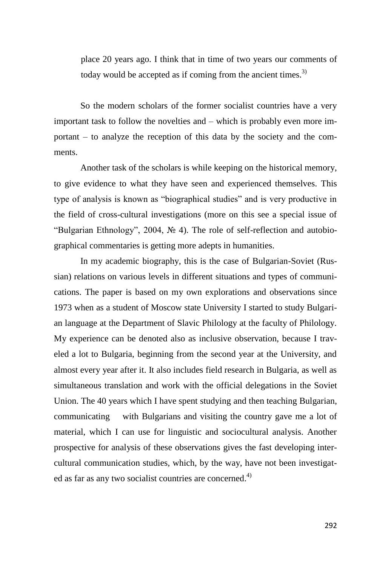place 20 years ago. I think that in time of two years our comments of today would be accepted as if coming from the ancient times. $3$ )

So the modern scholars of the former socialist countries have a very important task to follow the novelties and – which is probably even more important – to analyze the reception of this data by the society and the comments.

Another task of the scholars is while keeping on the historical memory, to give evidence to what they have seen and experienced themselves. This type of analysis is known as "biographical studies" and is very productive in the field of cross-cultural investigations (more on this see a special issue of "Bulgarian Ethnology", 2004, № 4). The role of self-reflection and autobiographical commentaries is getting more adepts in humanities.

In my academic biography, this is the case of Bulgarian-Soviet (Russian) relations on various levels in different situations and types of communications. The paper is based on my own explorations and observations since 1973 when as a student of Moscow state University I started to study Bulgarian language at the Department of Slavic Philology at the faculty of Philology. My experience can be denoted also as inclusive observation, because I traveled a lot to Bulgaria, beginning from the second year at the University, and almost every year after it. It also includes field research in Bulgaria, as well as simultaneous translation and work with the official delegations in the Soviet Union. The 40 years which I have spent studying and then teaching Bulgarian, communicating with Bulgarians and visiting the country gave me a lot of material, which I can use for linguistic and sociocultural analysis. Another prospective for analysis of these observations gives the fast developing intercultural communication studies, which, by the way, have not been investigated as far as any two socialist countries are concerned.<sup>4)</sup>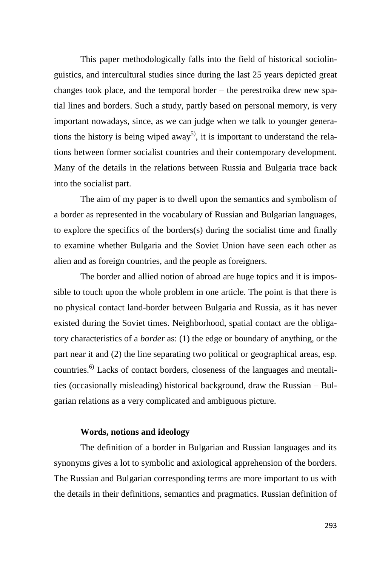This paper methodologically falls into the field of historical sociolinguistics, and intercultural studies since during the last 25 years depicted great changes took place, and the temporal border – the perestroika drew new spatial lines and borders. Such a study, partly based on personal memory, is very important nowadays, since, as we can judge when we talk to younger generations the history is being wiped away<sup>5)</sup>, it is important to understand the relations between former socialist countries and their contemporary development. Many of the details in the relations between Russia and Bulgaria trace back into the socialist part.

The aim of my paper is to dwell upon the semantics and symbolism of a border as represented in the vocabulary of Russian and Bulgarian languages, to explore the specifics of the borders(s) during the socialist time and finally to examine whether Bulgaria and the Soviet Union have seen each other as alien and as foreign countries, and the people as foreigners.

The border and allied notion of abroad are huge topics and it is impossible to touch upon the whole problem in one article. The point is that there is no physical contact land-border between Bulgaria and Russia, as it has never existed during the Soviet times. Neighborhood, spatial contact are the obligatory characteristics of a *border* as: (1) the edge or boundary of anything, or the part near it and (2) the line separating two political or geographical areas, esp. countries.6) Lacks of contact borders, closeness of the languages and mentalities (occasionally misleading) historical background, draw the Russian – Bulgarian relations as a very complicated and ambiguous picture.

## **Words, notions and ideology**

The definition of a border in Bulgarian and Russian languages and its synonyms gives a lot to symbolic and axiological apprehension of the borders. The Russian and Bulgarian corresponding terms are more important to us with the details in their definitions, semantics and pragmatics. Russian definition of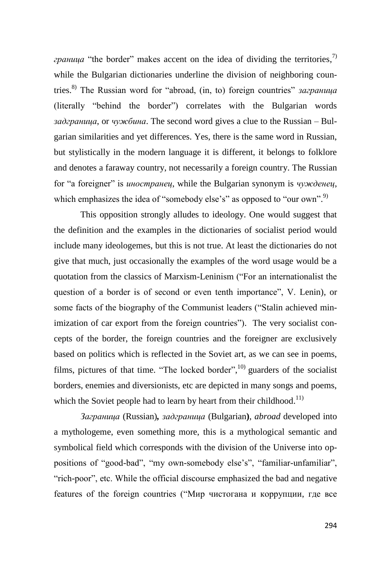*граница* "the border" makes accent on the idea of dividing the territories, 7) while the Bulgarian dictionaries underline the division of neighboring countries. 8) The Russian word for "abroad, (in, to) foreign countries" *заграница* (literally "behind the border") correlates with the Bulgarian words *задграница*, or *чужбина*. The second word gives a clue to the Russian – Bulgarian similarities and yet differences. Yes, there is the same word in Russian, but stylistically in the modern language it is different, it belongs to folklore and denotes a faraway country, not necessarily a foreign country. The Russian for "a foreigner" is *иностранец*, while the Bulgarian synonym is *чужденец*, which emphasizes the idea of "somebody else's" as opposed to "our own".<sup>9)</sup>

This opposition strongly alludes to ideology. One would suggest that the definition and the examples in the dictionaries of socialist period would include many ideologemes, but this is not true. At least the dictionaries do not give that much, just occasionally the examples of the word usage would be a quotation from the classics of Marxism-Leninism ("For an internationalist the question of a border is of second or even tenth importance", V. Lenin), or some facts of the biography of the Communist leaders ("Stalin achieved minimization of car export from the foreign countries"). The very socialist concepts of the border, the foreign countries and the foreigner are exclusively based on politics which is reflected in the Soviet art, as we can see in poems, films, pictures of that time. "The locked border", $^{10}$  guarders of the socialist borders, enemies and diversionists, etc are depicted in many songs and poems, which the Soviet people had to learn by heart from their childhood.<sup>11)</sup>

*Заграница* (Russian)*, задграница* (Bulgarian**)**, *abroad* developed into a mythologeme, even something more, this is a mythological semantic and symbolical field which corresponds with the division of the Universe into oppositions of "good-bad", "my own-somebody else's", "familiar-unfamiliar", "rich-poor", etc. While the official discourse emphasized the bad and negative features of the foreign countries ("Мир чистогана и коррупции, где все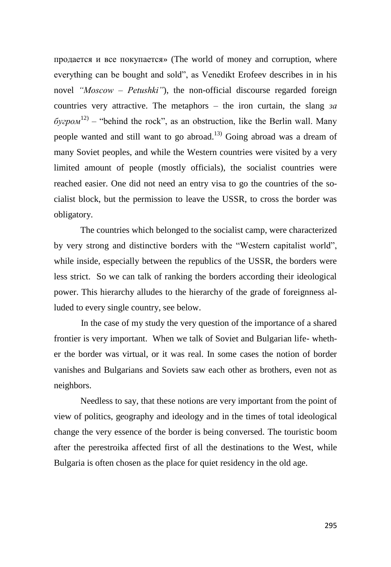продается и все покупается» (The world of money and corruption, where everything can be bought and sold", as Venedikt Erofeev describes in in his novel *"Moscow – Petushki"*), the non-official discourse regarded foreign countries very attractive. The metaphors – the iron curtain, the slang *за*  $\delta y$ *epom*<sup>12)</sup> – "behind the rock", as an obstruction, like the Berlin wall. Many people wanted and still want to go abroad.<sup>13)</sup> Going abroad was a dream of many Soviet peoples, and while the Western countries were visited by a very limited amount of people (mostly officials), the socialist countries were reached easier. One did not need an entry visa to go the countries of the socialist block, but the permission to leave the USSR, to cross the border was obligatory.

The countries which belonged to the socialist camp, were characterized by very strong and distinctive borders with the "Western capitalist world", while inside, especially between the republics of the USSR, the borders were less strict. So we can talk of ranking the borders according their ideological power. This hierarchy alludes to the hierarchy of the grade of foreignness alluded to every single country, see below.

In the case of my study the very question of the importance of a shared frontier is very important. When we talk of Soviet and Bulgarian life- whether the border was virtual, or it was real. In some cases the notion of border vanishes and Bulgarians and Soviets saw each other as brothers, even not as neighbors.

Needless to say, that these notions are very important from the point of view of politics, geography and ideology and in the times of total ideological change the very essence of the border is being conversed. The touristic boom after the perestroika affected first of all the destinations to the West, while Bulgaria is often chosen as the place for quiet residency in the old age.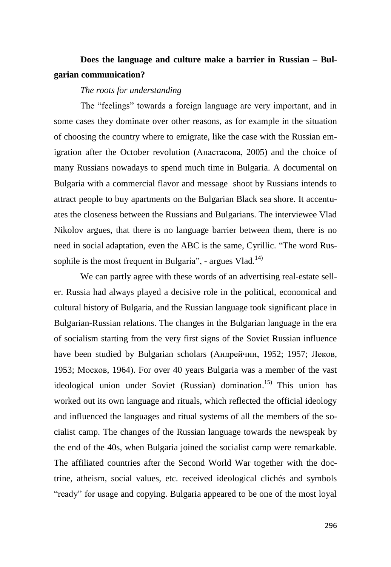# **Does the language and culture make a barrier in Russian – Bulgarian communication?**

#### *The roots for understanding*

The "feelings" towards a foreign language are very important, and in some cases they dominate over other reasons, as for example in the situation of choosing the country where to emigrate, like the case with the Russian emigration after the October revolution (Анастасова, 2005) and the choice of many Russians nowadays to spend much time in Bulgaria. A documental on Bulgaria with a commercial flavor and message shoot by Russians intends to attract people to buy apartments on the Bulgarian Black sea shore. It accentuates the closeness between the Russians and Bulgarians. The interviewee Vlad Nikolov argues, that there is no language barrier between them, there is no need in social adaptation, even the ABC is the same, Cyrillic. "The word Russophile is the most frequent in Bulgaria", - argues Vlad.<sup>14)</sup>

We can partly agree with these words of an advertising real-estate seller. Russia had always played a decisive role in the political, economical and cultural history of Bulgaria, and the Russian language took significant place in Bulgarian-Russian relations. The changes in the Bulgarian language in the era of socialism starting from the very first signs of the Soviet Russian influence have been studied by Bulgarian scholars (Андрейчин, 1952; 1957; Леков, 1953; Москов, 1964). For over 40 years Bulgaria was a member of the vast ideological union under Soviet (Russian) domination.<sup>15)</sup> This union has worked out its own language and rituals, which reflected the official ideology and influenced the languages and ritual systems of all the members of the socialist camp. The changes of the Russian language towards the newspeak by the end of the 40s, when Bulgaria joined the socialist camp were remarkable. The affiliated countries after the Second World War together with the doctrine, atheism, social values, etc. received ideological clichés and symbols "ready" for usage and copying. Bulgaria appeared to be one of the most loyal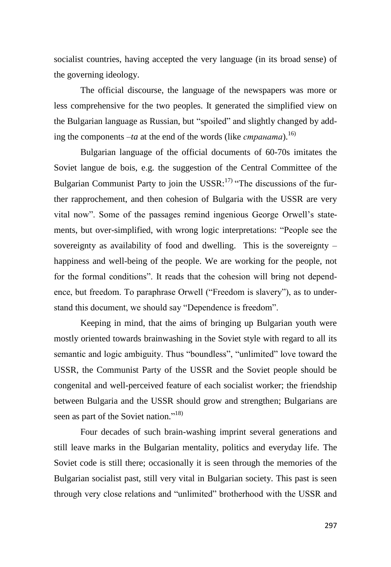socialist countries, having accepted the very language (in its broad sense) of the governing ideology.

The official discourse, the language of the newspapers was more or less comprehensive for the two peoples. It generated the simplified view on the Bulgarian language as Russian, but "spoiled" and slightly changed by adding the components *–ta* at the end of the words (like *страната*). 16)

Bulgarian language of the official documents of 60-70s imitates the Soviet langue de bois, e.g. the suggestion of the Central Committee of the Bulgarian Communist Party to join the USSR: $^{17)}$  "The discussions of the further rapprochement, and then cohesion of Bulgaria with the USSR are very vital now". Some of the passages remind ingenious George Orwell's statements, but over-simplified, with wrong logic interpretations: "People see the sovereignty as availability of food and dwelling. This is the sovereignty – happiness and well-being of the people. We are working for the people, not for the formal conditions". It reads that the cohesion will bring not dependence, but freedom. To paraphrase Orwell ("Freedom is slavery"), as to understand this document, we should say "Dependence is freedom".

Keeping in mind, that the aims of bringing up Bulgarian youth were mostly oriented towards brainwashing in the Soviet style with regard to all its semantic and logic ambiguity. Thus "boundless", "unlimited" love toward the USSR, the Communist Party of the USSR and the Soviet people should be congenital and well-perceived feature of each socialist worker; the friendship between Bulgaria and the USSR should grow and strengthen; Bulgarians are seen as part of the Soviet nation."<sup>18)</sup>

Four decades of such brain-washing imprint several generations and still leave marks in the Bulgarian mentality, politics and everyday life. The Soviet code is still there; occasionally it is seen through the memories of the Bulgarian socialist past, still very vital in Bulgarian society. This past is seen through very close relations and "unlimited" brotherhood with the USSR and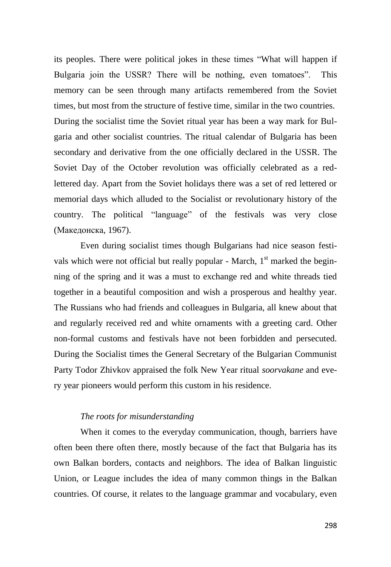its peoples. There were political jokes in these times "What will happen if Bulgaria join the USSR? There will be nothing, even tomatoes". This memory can be seen through many artifacts remembered from the Soviet times, but most from the structure of festive time, similar in the two countries. During the socialist time the Soviet ritual year has been a way mark for Bulgaria and other socialist countries. The ritual calendar of Bulgaria has been secondary and derivative from the one officially declared in the USSR. The Soviet Day of the October revolution was officially celebrated as a redlettered day. Apart from the Soviet holidays there was a set of red lettered or memorial days which alluded to the Socialist or revolutionary history of the country. The political "language" of the festivals was very close (Македонска, 1967).

Even during socialist times though Bulgarians had nice season festivals which were not official but really popular - March,  $1<sup>st</sup>$  marked the beginning of the spring and it was a must to exchange red and white threads tied together in a beautiful composition and wish a prosperous and healthy year. The Russians who had friends and colleagues in Bulgaria, all knew about that and regularly received red and white ornaments with a greeting card. Other non-formal customs and festivals have not been forbidden and persecuted. During the Socialist times the General Secretary of the Bulgarian Communist Party Todor Zhivkov appraised the folk New Year ritual *soorvakane* and every year pioneers would perform this custom in his residence.

### *The roots for misunderstanding*

When it comes to the everyday communication, though, barriers have often been there often there, mostly because of the fact that Bulgaria has its own Balkan borders, contacts and neighbors. The idea of Balkan linguistic Union, or League includes the idea of many common things in the Balkan countries. Of course, it relates to the language grammar and vocabulary, even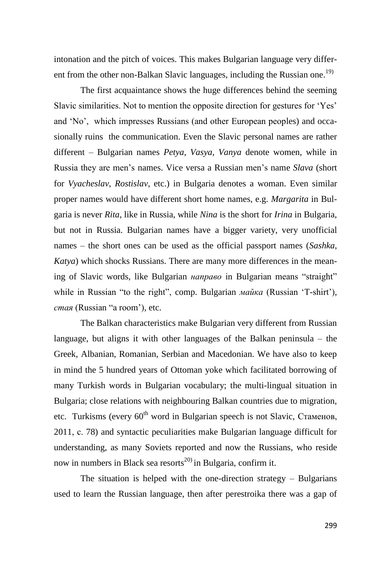intonation and the pitch of voices. This makes Bulgarian language very different from the other non-Balkan Slavic languages, including the Russian one.<sup>19)</sup>

The first acquaintance shows the huge differences behind the seeming Slavic similarities. Not to mention the opposite direction for gestures for 'Yes' and 'No', which impresses Russians (and other European peoples) and occasionally ruins the communication. Even the Slavic personal names are rather different – Bulgarian names *Petya*, *Vasya*, *Vanya* denote women, while in Russia they are men's names. Vice versa a Russian men's name *Slava* (short for *Vyacheslav*, *Rostislav*, etc.) in Bulgaria denotes a woman. Even similar proper names would have different short home names, e.g. *Margarita* in Bulgaria is never *Rita*, like in Russia, while *Nina* is the short for *Irina* in Bulgaria, but not in Russia. Bulgarian names have a bigger variety, very unofficial names – the short ones can be used as the official passport names (*Sashka*, *Katya*) which shocks Russians. There are many more differences in the meaning of Slavic words, like Bulgarian *направо* in Bulgarian means "straight" while in Russian "to the right", comp. Bulgarian *майка* (Russian 'T-shirt'), *стая* (Russian "a room')*,* etc.

The Balkan characteristics make Bulgarian very different from Russian language, but aligns it with other languages of the Balkan peninsula – the Greek, Albanian, Romanian, Serbian and Macedonian. We have also to keep in mind the 5 hundred years of Ottoman yoke which facilitated borrowing of many Turkish words in Bulgarian vocabulary; the multi-lingual situation in Bulgaria; close relations with neighbouring Balkan countries due to migration, etc. Turkisms (every  $60<sup>th</sup>$  word in Bulgarian speech is not Slavic, Стаменов, 2011, с. 78) and syntactic peculiarities make Bulgarian language difficult for understanding, as many Soviets reported and now the Russians, who reside now in numbers in Black sea resorts<sup>20)</sup> in Bulgaria, confirm it.

The situation is helped with the one-direction strategy – Bulgarians used to learn the Russian language, then after perestroika there was a gap of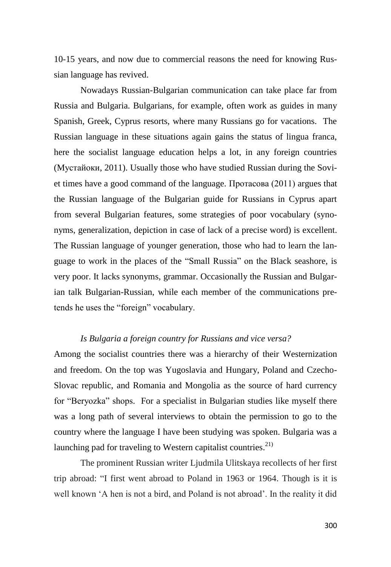10-15 years, and now due to commercial reasons the need for knowing Russian language has revived.

Nowadays Russian-Bulgarian communication can take place far from Russia and Bulgaria. Bulgarians, for example, often work as guides in many Spanish, Greek, Cyprus resorts, where many Russians go for vacations. The Russian language in these situations again gains the status of lingua franca, here the socialist language education helps a lot, in any foreign countries (Mустайоки, 2011). Usually those who have studied Russian during the Soviet times have a good command of the language. Протасова (2011) argues that the Russian language of the Bulgarian guide for Russians in Cyprus apart from several Bulgarian features, some strategies of poor vocabulary (synonyms, generalization, depiction in case of lack of a precise word) is excellent. The Russian language of younger generation, those who had to learn the language to work in the places of the "Small Russia" on the Black seashore, is very poor. It lacks synonyms, grammar. Occasionally the Russian and Bulgarian talk Bulgarian-Russian, while each member of the communications pretends he uses the "foreign" vocabulary.

## *Is Bulgaria a foreign country for Russians and vice versa?*

Among the socialist countries there was a hierarchy of their Westernization and freedom. On the top was Yugoslavia and Hungary, Poland and Czecho-Slovac republic, and Romania and Mongolia as the source of hard currency for "Beryozka" shops. For a specialist in Bulgarian studies like myself there was a long path of several interviews to obtain the permission to go to the country where the language I have been studying was spoken. Bulgaria was a launching pad for traveling to Western capitalist countries.<sup>21)</sup>

The prominent Russian writer Ljudmila Ulitskaya recollects of her first trip abroad: "I first went abroad to Poland in 1963 or 1964. Though is it is well known 'A hen is not a bird, and Poland is not abroad'. In the reality it did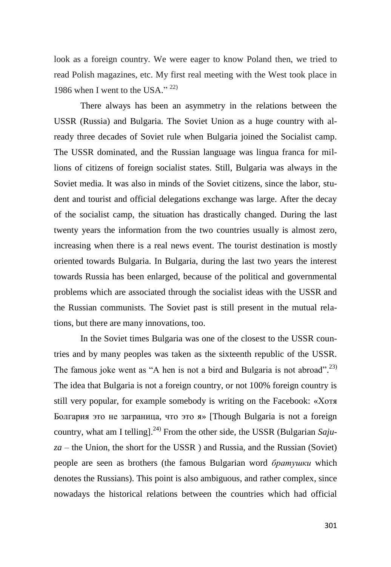look as a foreign country. We were eager to know Poland then, we tried to read Polish magazines, etc. My first real meeting with the West took place in 1986 when I went to the USA." 22)

There always has been an asymmetry in the relations between the USSR (Russia) and Bulgaria. The Soviet Union as a huge country with already three decades of Soviet rule when Bulgaria joined the Socialist camp. The USSR dominated, and the Russian language was lingua franca for millions of citizens of foreign socialist states. Still, Bulgaria was always in the Soviet media. It was also in minds of the Soviet citizens, since the labor, student and tourist and official delegations exchange was large. After the decay of the socialist camp, the situation has drastically changed. During the last twenty years the information from the two countries usually is almost zero, increasing when there is a real news event. The tourist destination is mostly oriented towards Bulgaria. In Bulgaria, during the last two years the interest towards Russia has been enlarged, because of the political and governmental problems which are associated through the socialist ideas with the USSR and the Russian communists. The Soviet past is still present in the mutual relations, but there are many innovations, too.

In the Soviet times Bulgaria was one of the closest to the USSR countries and by many peoples was taken as the sixteenth republic of the USSR. The famous joke went as "A hen is not a bird and Bulgaria is not abroad".<sup>23)</sup> The idea that Bulgaria is not a foreign country, or not 100% foreign country is still very popular, for example somebody is writing on the Facebook: «Хотя Болгария это не заграница, что это я» [Though Bulgaria is not a foreign country, what am I telling].<sup>24)</sup> From the other side, the USSR (Bulgarian *Sajuza* – the Union, the short for the USSR ) and Russia, and the Russian (Soviet) people are seen as brothers (the famous Bulgarian word *братушки* which denotes the Russians). This point is also ambiguous, and rather complex, since nowadays the historical relations between the countries which had official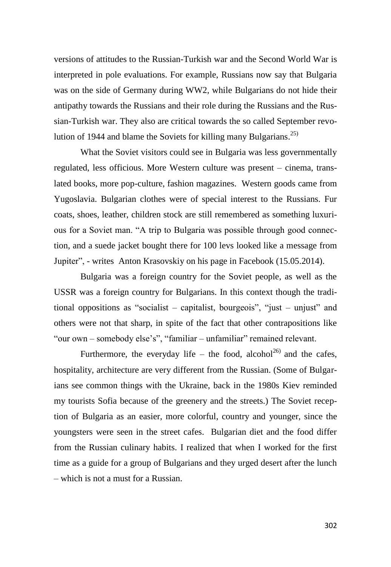versions of attitudes to the Russian-Turkish war and the Second World War is interpreted in pole evaluations. For example, Russians now say that Bulgaria was on the side of Germany during WW2, while Bulgarians do not hide their antipathy towards the Russians and their role during the Russians and the Russian-Turkish war. They also are critical towards the so called September revolution of 1944 and blame the Soviets for killing many Bulgarians. $^{25)}$ 

What the Soviet visitors could see in Bulgaria was less governmentally regulated, less officious. More Western culture was present – cinema, translated books, more pop-culture, fashion magazines. Western goods came from Yugoslavia. Bulgarian clothes were of special interest to the Russians. Fur coats, shoes, leather, children stock are still remembered as something luxurious for a Soviet man. "A trip to Bulgaria was possible through good connection, and a suede jacket bought there for 100 levs looked like a message from Jupiter", - writes Anton Krasovskiy on his page in Facebook (15.05.2014).

Bulgaria was a foreign country for the Soviet people, as well as the USSR was a foreign country for Bulgarians. In this context though the traditional oppositions as "socialist – capitalist, bourgeois", "just – unjust" and others were not that sharp, in spite of the fact that other contrapositions like "our own – somebody else's", "familiar – unfamiliar" remained relevant.

Furthermore, the everyday life – the food, alcohol<sup>26)</sup> and the cafes, hospitality, architecture are very different from the Russian. (Some of Bulgarians see common things with the Ukraine, back in the 1980s Kiev reminded my tourists Sofia because of the greenery and the streets.) The Soviet reception of Bulgaria as an easier, more colorful, country and younger, since the youngsters were seen in the street cafes. Bulgarian diet and the food differ from the Russian culinary habits. I realized that when I worked for the first time as a guide for a group of Bulgarians and they urged desert after the lunch – which is not a must for a Russian.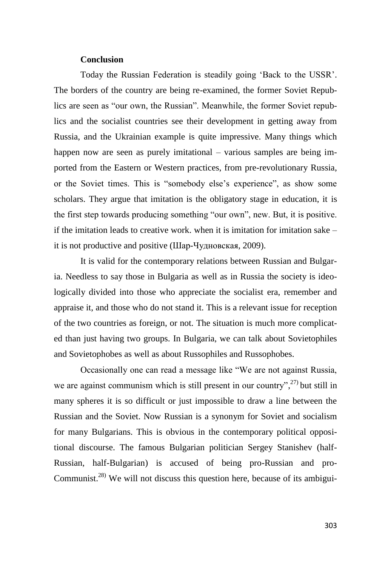### **Conclusion**

Today the Russian Federation is steadily going 'Back to the USSR'. The borders of the country are being re-examined, the former Soviet Republics are seen as "our own, the Russian". Meanwhile, the former Soviet republics and the socialist countries see their development in getting away from Russia, and the Ukrainian example is quite impressive. Many things which happen now are seen as purely imitational – various samples are being imported from the Eastern or Western practices, from pre-revolutionary Russia, or the Soviet times. This is "somebody else's experience", as show some scholars. They argue that imitation is the obligatory stage in education, it is the first step towards producing something "our own", new. But, it is positive. if the imitation leads to creative work. when it is imitation for imitation sake – it is not productive and positive (Шар-Чудновская, 2009).

It is valid for the contemporary relations between Russian and Bulgaria. Needless to say those in Bulgaria as well as in Russia the society is ideologically divided into those who appreciate the socialist era, remember and appraise it, and those who do not stand it. This is a relevant issue for reception of the two countries as foreign, or not. The situation is much more complicated than just having two groups. In Bulgaria, we can talk about Sovietophiles and Sovietophobes as well as about Russophiles and Russophobes.

Occasionally one can read a message like "We are not against Russia, we are against communism which is still present in our country", $27$  but still in many spheres it is so difficult or just impossible to draw a line between the Russian and the Soviet. Now Russian is a synonym for Soviet and socialism for many Bulgarians. This is obvious in the contemporary political oppositional discourse. The famous Bulgarian politician Sergey Stanishev (half-Russian, half-Bulgarian) is accused of being pro-Russian and pro-Communist.<sup>28)</sup> We will not discuss this question here, because of its ambigui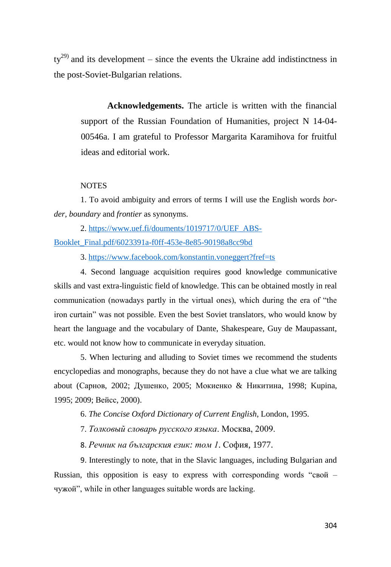$ty^{29}$  and its development – since the events the Ukraine add indistinctness in the post-Soviet-Bulgarian relations.

**Acknowledgements.** The article is written with the financial support of the Russian Foundation of Humanities, project N 14-04- 00546a. I am grateful to Professor Margarita Karamihova for fruitful ideas and editorial work.

#### **NOTES**

1. To avoid ambiguity and errors of terms I will use the English words *border, boundary* and *frontier* as synonyms.

2. [https://www.uef.fi/douments/1019717/0/UEF\\_ABS-](https://www.uef.fi/douments/1019717/0/UEF_ABS-Booklet_Final.pdf/6023391a-f0ff-453e-8e85-90198a8cc9bd)[Booklet\\_Final.pdf/6023391a-f0ff-453e-8e85-90198a8cc9bd](https://www.uef.fi/douments/1019717/0/UEF_ABS-Booklet_Final.pdf/6023391a-f0ff-453e-8e85-90198a8cc9bd)

3. <https://www.facebook.com/konstantin.voneggert?fref=ts>

4. Second language acquisition requires good knowledge communicative skills and vast extra-linguistic field of knowledge. This can be obtained mostly in real communication (nowadays partly in the virtual ones), which during the era of "the iron curtain" was not possible. Even the best Soviet translators, who would know by heart the language and the vocabulary of Dante, Shakespeare, Guy de Maupassant, etc. would not know how to communicate in everyday situation.

5. When lecturing and alluding to Soviet times we recommend the students encyclopedias and monographs, because they do not have a clue what we are talking about (Сарнов, 2002; Душенко, 2005; Мокиенко & Никитина, 1998; Kupina, 1995; 2009; Вейсс, 2000).

6. *The Concise Oxford Dictionary of Current English*, London, 1995.

7. *Толковый словарь русского языка*. Москва, 2009.

8. *Речник на българския език: том 1*. София, 1977.

9. Interestingly to note, that in the Slavic languages, including Bulgarian and Russian, this opposition is easy to express with corresponding words "свой – чужой", while in other languages suitable words are lacking.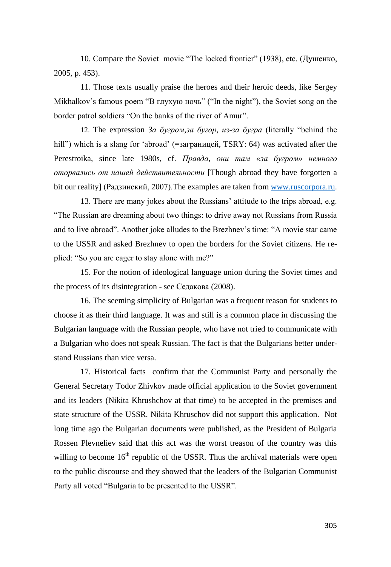10. Compare the Soviet movie "The locked frontier" (1938), etc. (Душенко, 2005, p. 453).

11. Those texts usually praise the heroes and their heroic deeds, like Sergey Mikhalkov's famous poem "В глухую ночь" ("In the night"), the Soviet song on the border patrol soldiers "On the banks of the river of Amur".

12. The expression *За бугром*,*за бугор, из-за бугра* (literally "behind the hill") which is a slang for 'abroad' (=заграницей, TSRY: 64) was activated after the Perestroika, since late 1980s, cf. *Правда, они там «за бугром» немного оторвались от нашей действительности* [Though abroad they have forgotten a bit our reality] (Радзинский, 2007).The examples are taken fro[m www.ruscorpora.ru.](http://www.ruscorpora.ru/)

13. There are many jokes about the Russians' attitude to the trips abroad, e.g. "The Russian are dreaming about two things: to drive away not Russians from Russia and to live abroad". Another joke alludes to the Brezhnev's time: "A movie star came to the USSR and asked Brezhnev to open the borders for the Soviet citizens. He replied: "So you are eager to stay alone with me?"

15. For the notion of ideological language union during the Soviet times and the process of its disintegration - see Седакова (2008).

16. The seeming simplicity of Bulgarian was a frequent reason for students to choose it as their third language. It was and still is a common place in discussing the Bulgarian language with the Russian people, who have not tried to communicate with a Bulgarian who does not speak Russian. The fact is that the Bulgarians better understand Russians than vice versa.

17. Historical facts confirm that the Communist Party and personally the General Secretary Todor Zhivkov made official application to the Soviet government and its leaders (Nikita Khrushchov at that time) to be accepted in the premises and state structure of the USSR. Nikita Khruschov did not support this application. Not long time ago the Bulgarian documents were published, as the President of Bulgaria Rossen Plevneliev said that this act was the worst treason of the country was this willing to become  $16<sup>th</sup>$  republic of the USSR. Thus the archival materials were open to the public discourse and they showed that the leaders of the Bulgarian Communist Party all voted "Bulgaria to be presented to the USSR".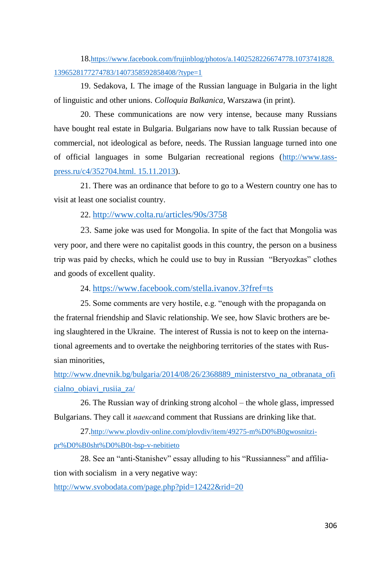18.[https://www.facebook.com/frujinblog/photos/a.1402528226674778.1073741828.](https://www.facebook.com/frujinblog/photos/a.1402528226674778.1073741828.1396528177274783/1407358592858408/?type=1) [1396528177274783/1407358592858408/?type=1](https://www.facebook.com/frujinblog/photos/a.1402528226674778.1073741828.1396528177274783/1407358592858408/?type=1)

19. Sedakova, I. The image of the Russian language in Bulgaria in the light of linguistic and other unions. *Colloquia Balkanica,* Warszawa (in print).

20. These communications are now very intense, because many Russians have bought real estate in Bulgaria. Bulgarians now have to talk Russian because of commercial, not ideological as before, needs. The Russian language turned into one of official languages in some Bulgarian recreational regions [\(http://www.tass](http://www.tass-press.ru/c4/352704.html.%2015.11.2013)[press.ru/c4/352704.html. 15.11.2013\)](http://www.tass-press.ru/c4/352704.html.%2015.11.2013).

21. There was an ordinance that before to go to a Western country one has to visit at least one socialist country.

22. <http://www.colta.ru/articles/90s/3758>

23. Same joke was used for Mongolia. In spite of the fact that Mongolia was very poor, and there were no capitalist goods in this country, the person on a business trip was paid by checks, which he could use to buy in Russian "Beryozkas" clothes and goods of excellent quality.

24. <https://www.facebook.com/stella.ivanov.3?fref=ts>

25. Some comments are very hostile, e.g. "enough with the propaganda on the fraternal friendship and Slavic relationship. We see, how Slavic brothers are being slaughtered in the Ukraine. The interest of Russia is not to keep on the international agreements and to overtake the neighboring territories of the states with Russian minorities,

[http://www.dnevnik.bg/bulgaria/2014/08/26/2368889\\_ministerstvo\\_na\\_otbranata\\_ofi](http://www.dnevnik.bg/bulgaria/2014/08/26/2368889_ministerstvo_na_otbranata_oficialno_obiavi_rusiia_za/) [cialno\\_obiavi\\_rusiia\\_za/](http://www.dnevnik.bg/bulgaria/2014/08/26/2368889_ministerstvo_na_otbranata_oficialno_obiavi_rusiia_za/)

26. The Russian way of drinking strong alcohol – the whole glass, impressed Bulgarians. They call it *наекс*and comment that Russians are drinking like that.

27.[http://www.plovdiv-online.com/plovdiv/item/49275-m%D0%B0gwosnitzi](http://www.plovdiv-online.com/plovdiv/item/49275-m%D0%B0gwosnitzi-pr%D0%B0sht%D0%B0t-bsp-v-nebitieto)[pr%D0%B0sht%D0%B0t-bsp-v-nebitieto](http://www.plovdiv-online.com/plovdiv/item/49275-m%D0%B0gwosnitzi-pr%D0%B0sht%D0%B0t-bsp-v-nebitieto)

28. See an "anti-Stanishev" essay alluding to his "Russianness" and affiliation with socialism in a very negative way:

<http://www.svobodata.com/page.php?pid=12422&rid=20>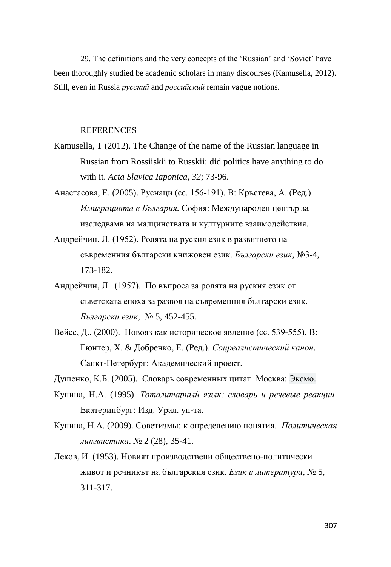29. The definitions and the very concepts of the 'Russian' and 'Soviet' have been thoroughly studied be academic scholars in many discourses (Kamusella, 2012). Still, even in Russia *русский* and *российский* remain vague notions.

#### REFERENCES

- Kamusella, T (2012). The Change of the name of the Russian language in Russian from Rossiiskii to Russkii: did politics have anything to do with it. *Acta Slavica Iaponica*, *32*; 73-96.
- Анастасова, E. (2005). Руснаци (сс. 156-191). В: Кръстева, А. (Ред.). *Имиграцията в България.* София: Международен център за изследвамв на малцинствата и културните взаимодействия.
- Андрейчин, Л. (1952). Ролята на руския език в развитието на съвременния български книжовен език. *Български език*, №3-4, 173-182.
- Андрейчин, Л. (1957). По въпроса за ролята на руския език от съветската епоха за развоя на съвременния български език. *Български език,* № 5, 452-455.
- Вейсс, Д.. (2000). Новояз как историческое явление (сс. 539-555). В: Гюнтер, Х. & Добренко, Е. (Ред.). *Соцреалистический канон*. Санкт-Петербург: Академический проект.

Душенко, К.Б. (2005). Словарь современных цитат. Москва: Эксмо.

- Купина, Н.А. (1995). *Тоталитарный язык: словарь и речевые реакции*. Екатеринбург: Изд. Урал. ун-та.
- Купина, Н.А. (2009). Советизмы: к определению понятия. *Политическая лингвистика*. № 2 (28), 35-41.
- Леков, И. (1953). Новият производствени обществено-политически живот и речникът на българския език. *Език и литература*, № 5, 311-317.